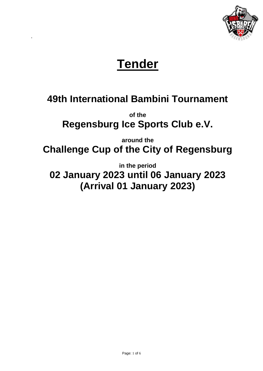

# **Tender**

# **49th International Bambini Tournament**

**of the Regensburg Ice Sports Club e.V.**

**around the Challenge Cup of the City of Regensburg**

**in the period** 

**02 January 2023 until 06 January 2023 (Arrival 01 January 2023)**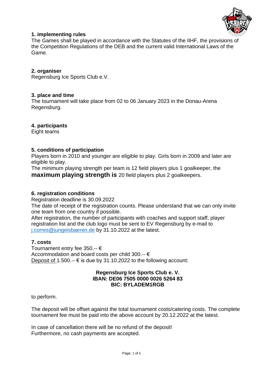

### **1. implementing rules**

The Games shall be played in accordance with the Statutes of the IIHF, the provisions of the Competition Regulations of the DEB and the current valid International Laws of the Game.

#### **2. organiser**

Regensburg Ice Sports Club e.V.

#### **3. place and time**

The tournament will take place from 02 to 06 January 2023 in the Donau-Arena Regensburg.

#### **4. participants**

Eight teams

#### **5. conditions of participation**

Players born in 2010 and younger are eligible to play. Girls born in 2009 and later are eligible to play.

The minimum playing strength per team is 12 field players plus 1 goalkeeper, the **maximum playing strength is** 20 field players plus 2 goalkeepers.

#### **6. registration conditions**

Registration deadline is 30.09.2022

The date of receipt of the registration counts. Please understand that we can only invite one team from one country if possible.

After registration, the number of participants with coaches and support staff, player registration list and the club logo must be sent to EV Regensburg by e-mail to [j.corres@jungeisbaeren.de](mailto:j.corres@jungeisbaeren.de) by 31.10.2022 at the latest.

#### **7. costs**

Tournament entry fee 350.-- € Accommodation and board costs per child 300.-- € Deposit of 1.500. $\div \in$  is due by 31.10.2022 to the following account:

#### **Regensburg Ice Sports Club e. V. IBAN: DE06 7505 0000 0026 5264 83 BIC: BYLADEM1RGB**

to perform.

The deposit will be offset against the total tournament costs/catering costs. The complete tournament fee must be paid into the above account by 20.12.2022 at the latest.

In case of cancellation there will be no refund of the deposit! Furthermore, no cash payments are accepted.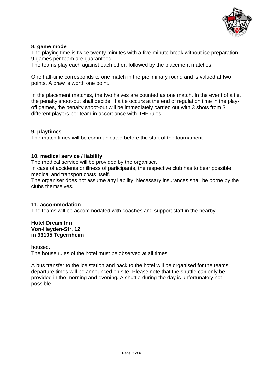

### **8. game mode**

The playing time is twice twenty minutes with a five-minute break without ice preparation. 9 games per team are guaranteed.

The teams play each against each other, followed by the placement matches.

One half-time corresponds to one match in the preliminary round and is valued at two points. A draw is worth one point.

In the placement matches, the two halves are counted as one match. In the event of a tie, the penalty shoot-out shall decide. If a tie occurs at the end of regulation time in the playoff games, the penalty shoot-out will be immediately carried out with 3 shots from 3 different players per team in accordance with IIHF rules.

#### **9. playtimes**

The match times will be communicated before the start of the tournament.

#### **10. medical service / liability**

The medical service will be provided by the organiser.

In case of accidents or illness of participants, the respective club has to bear possible medical and transport costs itself.

The organiser does not assume any liability. Necessary insurances shall be borne by the clubs themselves.

#### **11. accommodation**

The teams will be accommodated with coaches and support staff in the nearby

#### **Hotel Dream Inn Von-Heyden-Str. 12 in 93105 Tegernheim**

housed.

The house rules of the hotel must be observed at all times.

A bus transfer to the ice station and back to the hotel will be organised for the teams, departure times will be announced on site. Please note that the shuttle can only be provided in the morning and evening. A shuttle during the day is unfortunately not possible.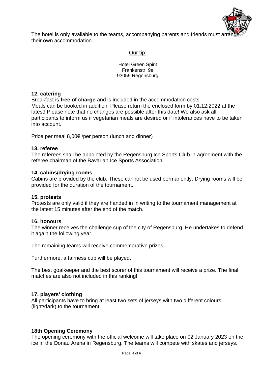

The hotel is only available to the teams, accompanying parents and friends must ar their own accommodation.

#### Our tip:

Hotel Green Spirit Frankenstr. 9e 93059 Regensburg

#### **12. catering**

Breakfast is **free of charge** and is included in the accommodation costs. Meals can be booked in addition. Please return the enclosed form by 01.12.2022 at the latest! Please note that no changes are possible after this date! We also ask all participants to inform us if vegetarian meals are desired or if intolerances have to be taken into account.

Price per meal 8,00€ /per person (lunch and dinner)

#### **13. referee**

The referees shall be appointed by the Regensburg Ice Sports Club in agreement with the referee chairman of the Bavarian Ice Sports Association.

#### **14. cabins/drying rooms**

Cabins are provided by the club. These cannot be used permanently. Drying rooms will be provided for the duration of the tournament.

#### **15. protests**

Protests are only valid if they are handed in in writing to the tournament management at the latest 15 minutes after the end of the match.

#### **16. honours**

The winner receives the challenge cup of the city of Regensburg. He undertakes to defend it again the following year.

The remaining teams will receive commemorative prizes.

Furthermore, a fairness cup will be played.

The best goalkeeper and the best scorer of this tournament will receive a prize. The final matches are also not included in this ranking!

#### **17. players' clothing**

All participants have to bring at least two sets of jerseys with two different colours (light/dark) to the tournament.

#### **18th Opening Ceremony**

The opening ceremony with the official welcome will take place on 02 January 2023 on the ice in the Donau Arena in Regensburg. The teams will compete with skates and jerseys.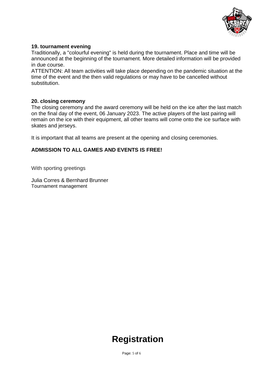

### **19. tournament evening**

Traditionally, a "colourful evening" is held during the tournament. Place and time will be announced at the beginning of the tournament. More detailed information will be provided in due course.

ATTENTION: All team activities will take place depending on the pandemic situation at the time of the event and the then valid regulations or may have to be cancelled without substitution.

#### **20. closing ceremony**

The closing ceremony and the award ceremony will be held on the ice after the last match on the final day of the event, 06 January 2023. The active players of the last pairing will remain on the ice with their equipment, all other teams will come onto the ice surface with skates and jerseys.

It is important that all teams are present at the opening and closing ceremonies.

#### **ADMISSION TO ALL GAMES AND EVENTS IS FREE!**

With sporting greetings

Julia Corres & Bernhard Brunner Tournament management

# **Registration**